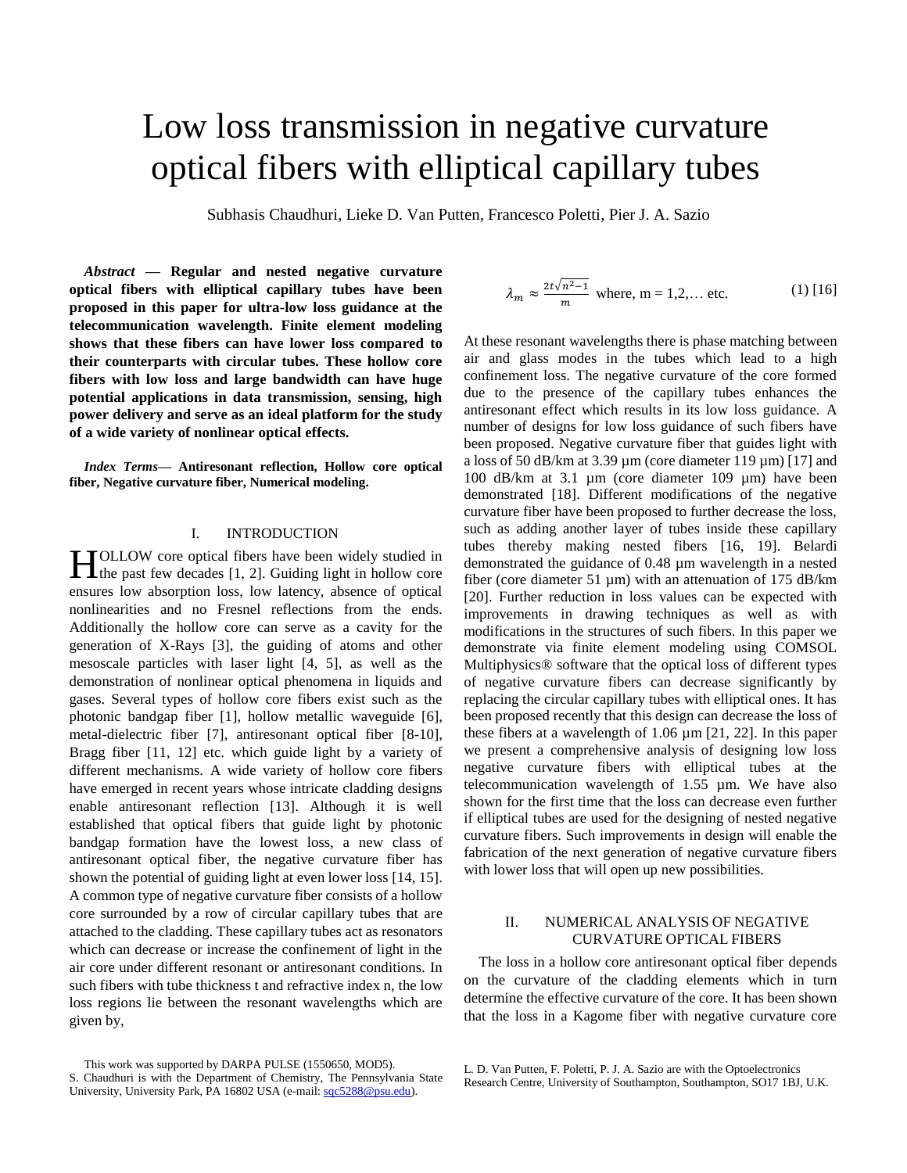# Low loss transmission in negative curvature optical fibers with elliptical capillary tubes

Subhasis Chaudhuri, Lieke D. Van Putten, Francesco Poletti, Pier J. A. Sazio

*Abstract* **— Regular and nested negative curvature optical fibers with elliptical capillary tubes have been proposed in this paper for ultra-low loss guidance at the telecommunication wavelength. Finite element modeling shows that these fibers can have lower loss compared to their counterparts with circular tubes. These hollow core fibers with low loss and large bandwidth can have huge potential applications in data transmission, sensing, high power delivery and serve as an ideal platform for the study of a wide variety of nonlinear optical effects.**

*Index Terms***— Antiresonant reflection, Hollow core optical fiber, Negative curvature fiber, Numerical modeling.**

## I. INTRODUCTION

OLLOW core optical fibers have been widely studied in **the past few decades** [1, 2]. Guiding light in hollow core ensures low absorption loss, low latency, absence of optical nonlinearities and no Fresnel reflections from the ends. Additionally the hollow core can serve as a cavity for the generation of X-Rays [3], the guiding of atoms and other mesoscale particles with laser light [4, 5], as well as the demonstration of nonlinear optical phenomena in liquids and gases. Several types of hollow core fibers exist such as the photonic bandgap fiber [1], hollow metallic waveguide [6], metal-dielectric fiber [7], antiresonant optical fiber [8-10], Bragg fiber [11, 12] etc. which guide light by a variety of different mechanisms. A wide variety of hollow core fibers have emerged in recent years whose intricate cladding designs enable antiresonant reflection [13]. Although it is well established that optical fibers that guide light by photonic bandgap formation have the lowest loss, a new class of antiresonant optical fiber, the negative curvature fiber has shown the potential of guiding light at even lower loss [14, 15]. A common type of negative curvature fiber consists of a hollow core surrounded by a row of circular capillary tubes that are attached to the cladding. These capillary tubes act as resonators which can decrease or increase the confinement of light in the air core under different resonant or antiresonant conditions. In such fibers with tube thickness t and refractive index n, the low loss regions lie between the resonant wavelengths which are given by,

$$
\lambda_m \approx \frac{2t\sqrt{n^2-1}}{m}
$$
 where, m = 1,2,... etc. (1) [16]

At these resonant wavelengths there is phase matching between air and glass modes in the tubes which lead to a high confinement loss. The negative curvature of the core formed due to the presence of the capillary tubes enhances the antiresonant effect which results in its low loss guidance. A number of designs for low loss guidance of such fibers have been proposed. Negative curvature fiber that guides light with a loss of 50 dB/km at 3.39  $\mu$ m (core diameter 119  $\mu$ m) [17] and 100 dB/km at 3.1 µm (core diameter 109 µm) have been demonstrated [18]. Different modifications of the negative curvature fiber have been proposed to further decrease the loss, such as adding another layer of tubes inside these capillary tubes thereby making nested fibers [16, 19]. Belardi demonstrated the guidance of 0.48 µm wavelength in a nested fiber (core diameter 51 µm) with an attenuation of 175 dB/km [20]. Further reduction in loss values can be expected with improvements in drawing techniques as well as with modifications in the structures of such fibers. In this paper we demonstrate via finite element modeling using COMSOL Multiphysics® software that the optical loss of different types of negative curvature fibers can decrease significantly by replacing the circular capillary tubes with elliptical ones. It has been proposed recently that this design can decrease the loss of these fibers at a wavelength of 1.06  $\mu$ m [21, 22]. In this paper we present a comprehensive analysis of designing low loss negative curvature fibers with elliptical tubes at the telecommunication wavelength of 1.55 µm. We have also shown for the first time that the loss can decrease even further if elliptical tubes are used for the designing of nested negative curvature fibers. Such improvements in design will enable the fabrication of the next generation of negative curvature fibers with lower loss that will open up new possibilities.

### II. NUMERICAL ANALYSIS OF NEGATIVE CURVATURE OPTICAL FIBERS

The loss in a hollow core antiresonant optical fiber depends on the curvature of the cladding elements which in turn determine the effective curvature of the core. It has been shown that the loss in a Kagome fiber with negative curvature core

This work was supported by DARPA PULSE (1550650, MOD5).

S. Chaudhuri is with the Department of Chemistry, The Pennsylvania State University, University Park, PA 16802 USA (e-mail: [sqc5288@psu.edu\)](mailto:sqc5288@chem.psu.edu).

L. D. Van Putten, F. Poletti, P. J. A. Sazio are with the Optoelectronics Research Centre, University of Southampton, Southampton, SO17 1BJ, U.K.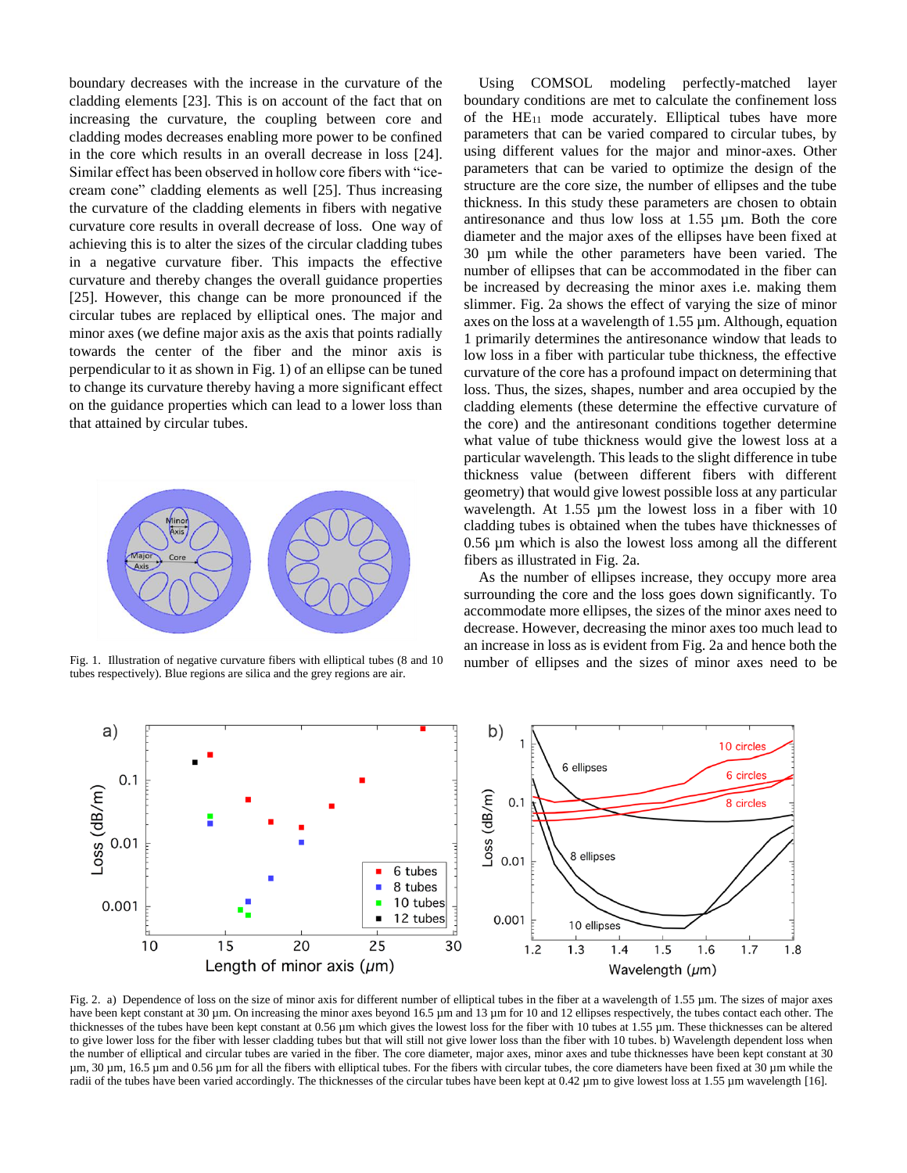boundary decreases with the increase in the curvature of the cladding elements [23]. This is on account of the fact that on increasing the curvature, the coupling between core and cladding modes decreases enabling more power to be confined in the core which results in an overall decrease in loss [24]. Similar effect has been observed in hollow core fibers with "icecream cone" cladding elements as well [25]. Thus increasing the curvature of the cladding elements in fibers with negative curvature core results in overall decrease of loss. One way of achieving this is to alter the sizes of the circular cladding tubes in a negative curvature fiber. This impacts the effective curvature and thereby changes the overall guidance properties [25]. However, this change can be more pronounced if the circular tubes are replaced by elliptical ones. The major and minor axes (we define major axis as the axis that points radially towards the center of the fiber and the minor axis is perpendicular to it as shown in Fig. 1) of an ellipse can be tuned to change its curvature thereby having a more significant effect on the guidance properties which can lead to a lower loss than that attained by circular tubes.



tubes respectively). Blue regions are silica and the grey regions are air.

Using COMSOL modeling perfectly-matched layer boundary conditions are met to calculate the confinement loss of the  $HE_{11}$  mode accurately. Elliptical tubes have more parameters that can be varied compared to circular tubes, by using different values for the major and minor-axes. Other parameters that can be varied to optimize the design of the structure are the core size, the number of ellipses and the tube thickness. In this study these parameters are chosen to obtain antiresonance and thus low loss at 1.55 µm. Both the core diameter and the major axes of the ellipses have been fixed at 30 µm while the other parameters have been varied. The number of ellipses that can be accommodated in the fiber can be increased by decreasing the minor axes i.e. making them slimmer. Fig. 2a shows the effect of varying the size of minor axes on the loss at a wavelength of 1.55 µm. Although, equation 1 primarily determines the antiresonance window that leads to low loss in a fiber with particular tube thickness, the effective curvature of the core has a profound impact on determining that loss. Thus, the sizes, shapes, number and area occupied by the cladding elements (these determine the effective curvature of the core) and the antiresonant conditions together determine what value of tube thickness would give the lowest loss at a particular wavelength. This leads to the slight difference in tube thickness value (between different fibers with different geometry) that would give lowest possible loss at any particular wavelength. At 1.55 µm the lowest loss in a fiber with 10 cladding tubes is obtained when the tubes have thicknesses of 0.56 µm which is also the lowest loss among all the different fibers as illustrated in Fig. 2a.

As the number of ellipses increase, they occupy more area surrounding the core and the loss goes down significantly. To accommodate more ellipses, the sizes of the minor axes need to decrease. However, decreasing the minor axes too much lead to an increase in loss as is evident from Fig. 2a and hence both the Fig. 1. Illustration of negative curvature fibers with elliptical tubes (8 and 10 number of ellipses and the sizes of minor axes need to be



Fig. 2. a) Dependence of loss on the size of minor axis for different number of elliptical tubes in the fiber at a wavelength of 1.55 µm. The sizes of major axes have been kept constant at 30 µm. On increasing the minor axes beyond 16.5 µm and 13 µm for 10 and 12 ellipses respectively, the tubes contact each other. The thicknesses of the tubes have been kept constant at 0.56 µm which gives the lowest loss for the fiber with 10 tubes at 1.55 µm. These thicknesses can be altered to give lower loss for the fiber with lesser cladding tubes but that will still not give lower loss than the fiber with 10 tubes. b) Wavelength dependent loss when the number of elliptical and circular tubes are varied in the fiber. The core diameter, major axes, minor axes and tube thicknesses have been kept constant at 30 µm, 30 µm, 16.5 µm and 0.56 µm for all the fibers with elliptical tubes. For the fibers with circular tubes, the core diameters have been fixed at 30 µm while the radii of the tubes have been varied accordingly. The thicknesses of the circular tubes have been kept at 0.42 µm to give lowest loss at 1.55 µm wavelength [16].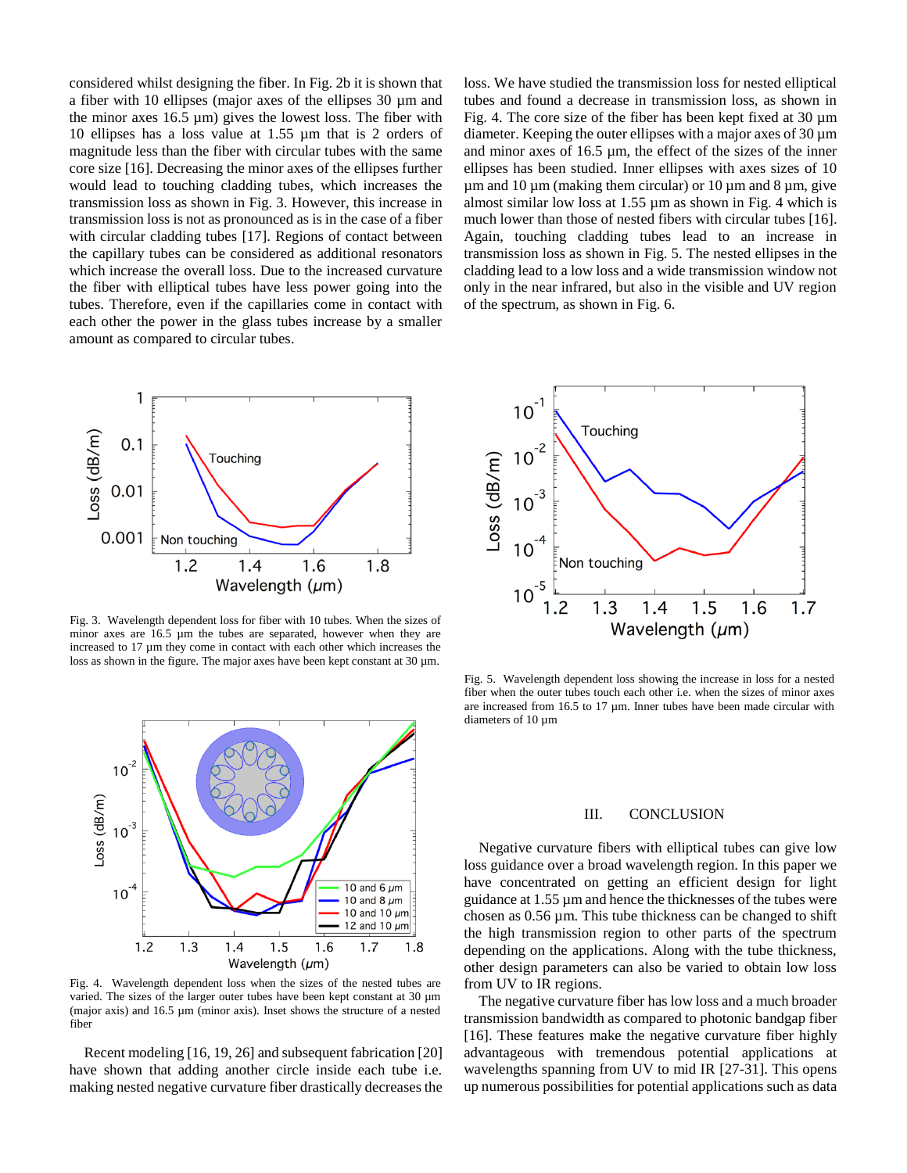considered whilst designing the fiber. In Fig. 2b it is shown that a fiber with 10 ellipses (major axes of the ellipses 30 µm and the minor axes  $16.5 \mu m$ ) gives the lowest loss. The fiber with 10 ellipses has a loss value at 1.55 µm that is 2 orders of magnitude less than the fiber with circular tubes with the same core size [16]. Decreasing the minor axes of the ellipses further would lead to touching cladding tubes, which increases the transmission loss as shown in Fig. 3. However, this increase in transmission loss is not as pronounced as is in the case of a fiber with circular cladding tubes [17]. Regions of contact between the capillary tubes can be considered as additional resonators which increase the overall loss. Due to the increased curvature the fiber with elliptical tubes have less power going into the tubes. Therefore, even if the capillaries come in contact with each other the power in the glass tubes increase by a smaller amount as compared to circular tubes.



Fig. 3. Wavelength dependent loss for fiber with 10 tubes. When the sizes of minor axes are 16.5 µm the tubes are separated, however when they are increased to 17 µm they come in contact with each other which increases the loss as shown in the figure. The major axes have been kept constant at  $30 \mu m$ .



Fig. 4. Wavelength dependent loss when the sizes of the nested tubes are varied. The sizes of the larger outer tubes have been kept constant at 30  $\mu$ m (major axis) and 16.5 µm (minor axis). Inset shows the structure of a nested fiber

Recent modeling [16, 19, 26] and subsequent fabrication [20] have shown that adding another circle inside each tube i.e. making nested negative curvature fiber drastically decreases the loss. We have studied the transmission loss for nested elliptical tubes and found a decrease in transmission loss, as shown in Fig. 4. The core size of the fiber has been kept fixed at  $30 \mu m$ diameter. Keeping the outer ellipses with a major axes of 30 µm and minor axes of 16.5 µm, the effect of the sizes of the inner ellipses has been studied. Inner ellipses with axes sizes of 10  $\mu$ m and 10  $\mu$ m (making them circular) or 10  $\mu$ m and 8  $\mu$ m, give almost similar low loss at  $1.55 \mu m$  as shown in Fig. 4 which is much lower than those of nested fibers with circular tubes [16]. Again, touching cladding tubes lead to an increase in transmission loss as shown in Fig. 5. The nested ellipses in the cladding lead to a low loss and a wide transmission window not only in the near infrared, but also in the visible and UV region of the spectrum, as shown in Fig. 6.



Fig. 5. Wavelength dependent loss showing the increase in loss for a nested fiber when the outer tubes touch each other i.e. when the sizes of minor axes are increased from 16.5 to 17  $\mu$ m. Inner tubes have been made circular with diameters of 10  $\mu$ m

#### III. CONCLUSION

Negative curvature fibers with elliptical tubes can give low loss guidance over a broad wavelength region. In this paper we have concentrated on getting an efficient design for light guidance at 1.55 µm and hence the thicknesses of the tubes were chosen as 0.56 µm. This tube thickness can be changed to shift the high transmission region to other parts of the spectrum depending on the applications. Along with the tube thickness, other design parameters can also be varied to obtain low loss from UV to IR regions.

The negative curvature fiber has low loss and a much broader transmission bandwidth as compared to photonic bandgap fiber [16]. These features make the negative curvature fiber highly advantageous with tremendous potential applications at wavelengths spanning from UV to mid IR [27-31]. This opens up numerous possibilities for potential applications such as data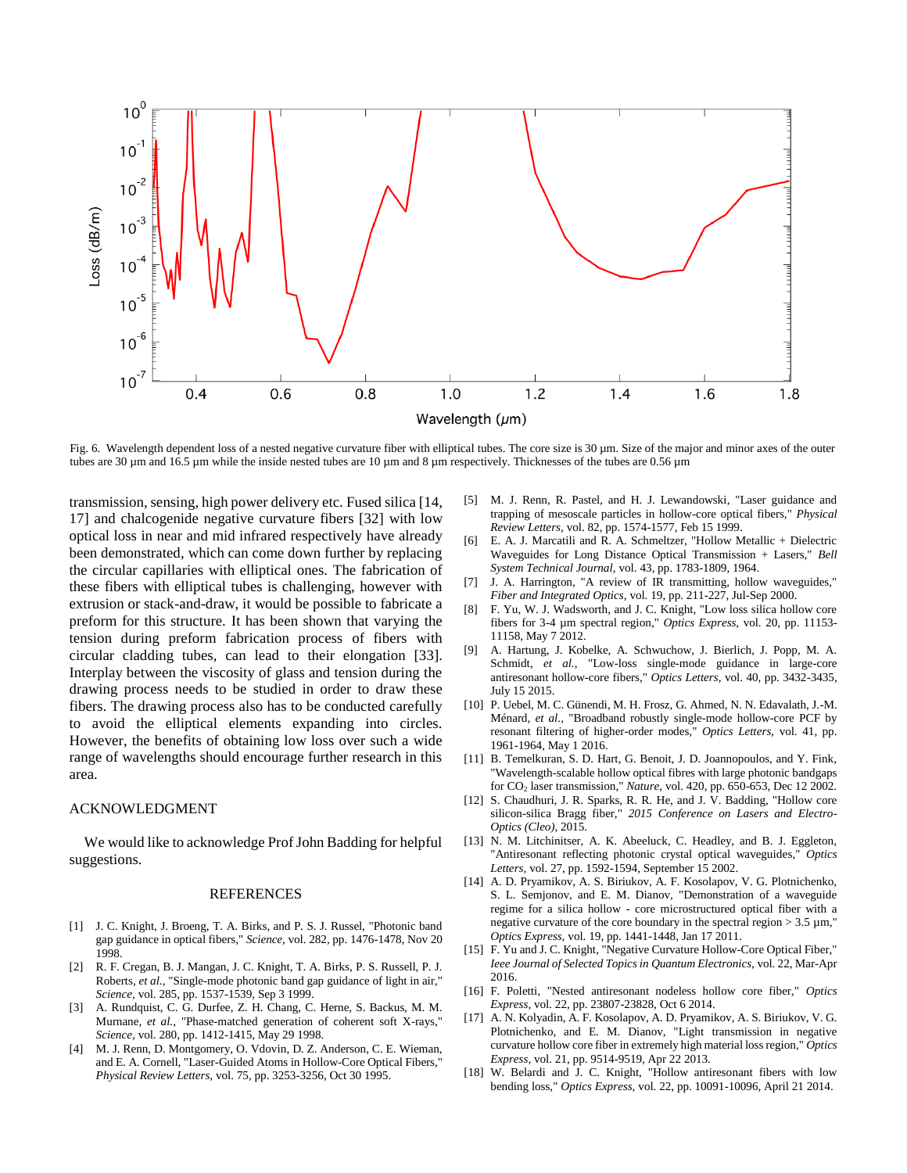

Fig. 6. Wavelength dependent loss of a nested negative curvature fiber with elliptical tubes. The core size is 30 µm. Size of the major and minor axes of the outer tubes are 30 µm and 16.5 µm while the inside nested tubes are 10 µm and 8 µm respectively. Thicknesses of the tubes are 0.56 µm

transmission, sensing, high power delivery etc. Fused silica [14, 17] and chalcogenide negative curvature fibers [32] with low optical loss in near and mid infrared respectively have already been demonstrated, which can come down further by replacing the circular capillaries with elliptical ones. The fabrication of these fibers with elliptical tubes is challenging, however with extrusion or stack-and-draw, it would be possible to fabricate a preform for this structure. It has been shown that varying the tension during preform fabrication process of fibers with circular cladding tubes, can lead to their elongation [33]. Interplay between the viscosity of glass and tension during the drawing process needs to be studied in order to draw these fibers. The drawing process also has to be conducted carefully to avoid the elliptical elements expanding into circles. However, the benefits of obtaining low loss over such a wide range of wavelengths should encourage further research in this area.

#### ACKNOWLEDGMENT

We would like to acknowledge Prof John Badding for helpful suggestions.

#### REFERENCES

- [1] J. C. Knight, J. Broeng, T. A. Birks, and P. S. J. Russel, "Photonic band gap guidance in optical fibers," *Science,* vol. 282, pp. 1476-1478, Nov 20 1998.
- [2] R. F. Cregan, B. J. Mangan, J. C. Knight, T. A. Birks, P. S. Russell, P. J. Roberts*, et al.*, "Single-mode photonic band gap guidance of light in air," *Science,* vol. 285, pp. 1537-1539, Sep 3 1999.
- [3] A. Rundquist, C. G. Durfee, Z. H. Chang, C. Herne, S. Backus, M. M. Murnane*, et al.*, "Phase-matched generation of coherent soft X-rays," *Science,* vol. 280, pp. 1412-1415, May 29 1998.
- [4] M. J. Renn, D. Montgomery, O. Vdovin, D. Z. Anderson, C. E. Wieman, and E. A. Cornell, "Laser-Guided Atoms in Hollow-Core Optical Fibers," *Physical Review Letters,* vol. 75, pp. 3253-3256, Oct 30 1995.
- [5] M. J. Renn, R. Pastel, and H. J. Lewandowski, "Laser guidance and trapping of mesoscale particles in hollow-core optical fibers," *Physical Review Letters,* vol. 82, pp. 1574-1577, Feb 15 1999.
- [6] E. A. J. Marcatili and R. A. Schmeltzer, "Hollow Metallic + Dielectric Waveguides for Long Distance Optical Transmission + Lasers," *Bell System Technical Journal,* vol. 43, pp. 1783-1809, 1964.
- [7] J. A. Harrington, "A review of IR transmitting, hollow waveguides," *Fiber and Integrated Optics,* vol. 19, pp. 211-227, Jul-Sep 2000.
- [8] F. Yu, W. J. Wadsworth, and J. C. Knight, "Low loss silica hollow core fibers for 3-4 µm spectral region," *Optics Express,* vol. 20, pp. 11153- 11158, May 7 2012.
- [9] A. Hartung, J. Kobelke, A. Schwuchow, J. Bierlich, J. Popp, M. A. Schmidt*, et al.*, "Low-loss single-mode guidance in large-core antiresonant hollow-core fibers," *Optics Letters,* vol. 40, pp. 3432-3435, July 15 2015.
- [10] P. Uebel, M. C. Günendi, M. H. Frosz, G. Ahmed, N. N. Edavalath, J.-M. Ménard*, et al.*, "Broadband robustly single-mode hollow-core PCF by resonant filtering of higher-order modes," *Optics Letters,* vol. 41, pp. 1961-1964, May 1 2016.
- [11] B. Temelkuran, S. D. Hart, G. Benoit, J. D. Joannopoulos, and Y. Fink, "Wavelength-scalable hollow optical fibres with large photonic bandgaps for CO<sup>2</sup> laser transmission," *Nature,* vol. 420, pp. 650-653, Dec 12 2002.
- [12] S. Chaudhuri, J. R. Sparks, R. R. He, and J. V. Badding, "Hollow core silicon-silica Bragg fiber," *2015 Conference on Lasers and Electro-Optics (Cleo),* 2015.
- [13] N. M. Litchinitser, A. K. Abeeluck, C. Headley, and B. J. Eggleton, "Antiresonant reflecting photonic crystal optical waveguides," *Optics Letters,* vol. 27, pp. 1592-1594, September 15 2002.
- [14] A. D. Pryamikov, A. S. Biriukov, A. F. Kosolapov, V. G. Plotnichenko, S. L. Semjonov, and E. M. Dianov, "Demonstration of a waveguide regime for a silica hollow - core microstructured optical fiber with a negative curvature of the core boundary in the spectral region  $> 3.5 \mu m$ , *Optics Express,* vol. 19, pp. 1441-1448, Jan 17 2011.
- [15] F. Yu and J. C. Knight, "Negative Curvature Hollow-Core Optical Fiber," *Ieee Journal of Selected Topics in Quantum Electronics,* vol. 22, Mar-Apr 2016.
- [16] F. Poletti, "Nested antiresonant nodeless hollow core fiber," *Optics Express,* vol. 22, pp. 23807-23828, Oct 6 2014.
- [17] A. N. Kolyadin, A. F. Kosolapov, A. D. Pryamikov, A. S. Biriukov, V. G. Plotnichenko, and E. M. Dianov, "Light transmission in negative curvature hollow core fiber in extremely high material loss region," *Optics Express,* vol. 21, pp. 9514-9519, Apr 22 2013.
- [18] W. Belardi and J. C. Knight, "Hollow antiresonant fibers with low bending loss," *Optics Express,* vol. 22, pp. 10091-10096, April 21 2014.